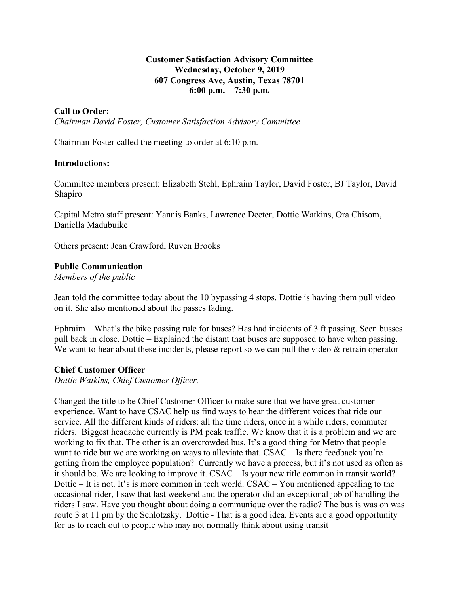## **Customer Satisfaction Advisory Committee Wednesday, October 9, 2019 607 Congress Ave, Austin, Texas 78701 6:00 p.m. – 7:30 p.m.**

### **Call to Order:**

*Chairman David Foster, Customer Satisfaction Advisory Committee*

Chairman Foster called the meeting to order at 6:10 p.m.

#### **Introductions:**

Committee members present: Elizabeth Stehl, Ephraim Taylor, David Foster, BJ Taylor, David Shapiro

Capital Metro staff present: Yannis Banks, Lawrence Deeter, Dottie Watkins, Ora Chisom, Daniella Madubuike

Others present: Jean Crawford, Ruven Brooks

#### **Public Communication**

*Members of the public*

Jean told the committee today about the 10 bypassing 4 stops. Dottie is having them pull video on it. She also mentioned about the passes fading.

Ephraim – What's the bike passing rule for buses? Has had incidents of 3 ft passing. Seen busses pull back in close. Dottie – Explained the distant that buses are supposed to have when passing. We want to hear about these incidents, please report so we can pull the video  $\&$  retrain operator

#### **Chief Customer Officer**

*Dottie Watkins, Chief Customer Officer,*

Changed the title to be Chief Customer Officer to make sure that we have great customer experience. Want to have CSAC help us find ways to hear the different voices that ride our service. All the different kinds of riders: all the time riders, once in a while riders, commuter riders. Biggest headache currently is PM peak traffic. We know that it is a problem and we are working to fix that. The other is an overcrowded bus. It's a good thing for Metro that people want to ride but we are working on ways to alleviate that. CSAC – Is there feedback you're getting from the employee population? Currently we have a process, but it's not used as often as it should be. We are looking to improve it. CSAC – Is your new title common in transit world? Dottie – It is not. It's is more common in tech world. CSAC – You mentioned appealing to the occasional rider, I saw that last weekend and the operator did an exceptional job of handling the riders I saw. Have you thought about doing a communique over the radio? The bus is was on was route 3 at 11 pm by the Schlotzsky. Dottie - That is a good idea. Events are a good opportunity for us to reach out to people who may not normally think about using transit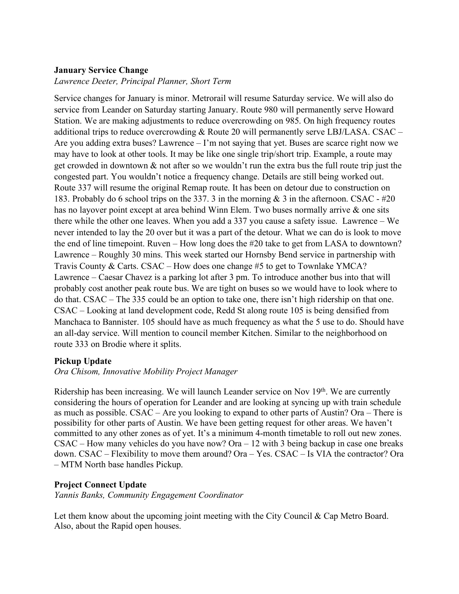# **January Service Change**

### *Lawrence Deeter, Principal Planner, Short Term*

Service changes for January is minor. Metrorail will resume Saturday service. We will also do service from Leander on Saturday starting January. Route 980 will permanently serve Howard Station. We are making adjustments to reduce overcrowding on 985. On high frequency routes additional trips to reduce overcrowding & Route 20 will permanently serve LBJ/LASA. CSAC – Are you adding extra buses? Lawrence – I'm not saying that yet. Buses are scarce right now we may have to look at other tools. It may be like one single trip/short trip. Example, a route may get crowded in downtown & not after so we wouldn't run the extra bus the full route trip just the congested part. You wouldn't notice a frequency change. Details are still being worked out. Route 337 will resume the original Remap route. It has been on detour due to construction on 183. Probably do 6 school trips on the 337. 3 in the morning & 3 in the afternoon. CSAC - #20 has no layover point except at area behind Winn Elem. Two buses normally arrive & one sits there while the other one leaves. When you add a 337 you cause a safety issue. Lawrence – We never intended to lay the 20 over but it was a part of the detour. What we can do is look to move the end of line timepoint. Ruven – How long does the #20 take to get from LASA to downtown? Lawrence – Roughly 30 mins. This week started our Hornsby Bend service in partnership with Travis County & Carts. CSAC – How does one change #5 to get to Townlake YMCA? Lawrence – Caesar Chavez is a parking lot after 3 pm. To introduce another bus into that will probably cost another peak route bus. We are tight on buses so we would have to look where to do that. CSAC – The 335 could be an option to take one, there isn't high ridership on that one. CSAC – Looking at land development code, Redd St along route 105 is being densified from Manchaca to Bannister. 105 should have as much frequency as what the 5 use to do. Should have an all-day service. Will mention to council member Kitchen. Similar to the neighborhood on route 333 on Brodie where it splits.

# **Pickup Update**

*Ora Chisom, Innovative Mobility Project Manager*

Ridership has been increasing. We will launch Leander service on Nov 19<sup>th</sup>. We are currently considering the hours of operation for Leander and are looking at syncing up with train schedule as much as possible. CSAC – Are you looking to expand to other parts of Austin? Ora – There is possibility for other parts of Austin. We have been getting request for other areas. We haven't committed to any other zones as of yet. It's a minimum 4-month timetable to roll out new zones.  $CSAC$  – How many vehicles do you have now? Ora – 12 with 3 being backup in case one breaks down. CSAC – Flexibility to move them around? Ora – Yes. CSAC – Is VIA the contractor? Ora – MTM North base handles Pickup.

# **Project Connect Update**

*Yannis Banks, Community Engagement Coordinator*

Let them know about the upcoming joint meeting with the City Council & Cap Metro Board. Also, about the Rapid open houses.